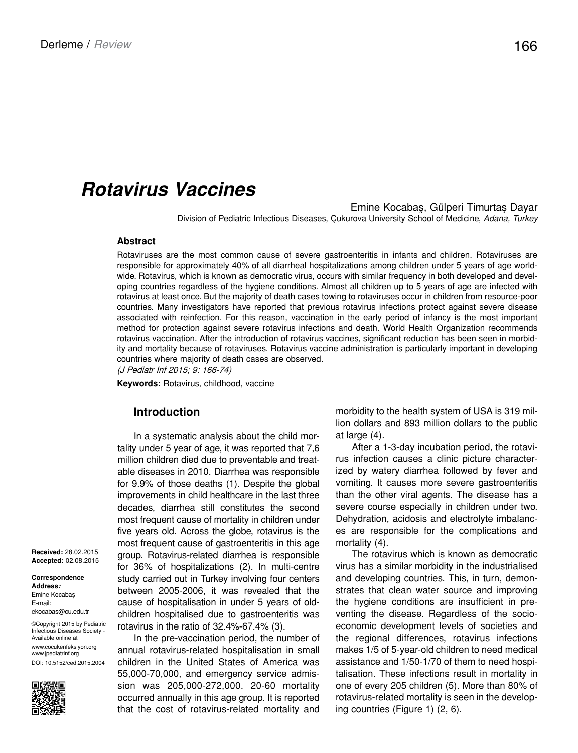# *Rotavirus Vaccines*

Emine Kocabaş, Gülperi Timurtaş Dayar

Division of Pediatric Infectious Diseases, Çukurova University School of Medicine, *Adana, Turkey*

#### **Abstract**

Rotaviruses are the most common cause of severe gastroenteritis in infants and children. Rotaviruses are responsible for approximately 40% of all diarrheal hospitalizations among children under 5 years of age worldwide. Rotavirus, which is known as democratic virus, occurs with similar frequency in both developed and developing countries regardless of the hygiene conditions. Almost all children up to 5 years of age are infected with rotavirus at least once. But the majority of death cases towing to rotaviruses occur in children from resource-poor countries. Many investigators have reported that previous rotavirus infections protect against severe disease associated with reinfection. For this reason, vaccination in the early period of infancy is the most important method for protection against severe rotavirus infections and death. World Health Organization recommends rotavirus vaccination. After the introduction of rotavirus vaccines, significant reduction has been seen in morbidity and mortality because of rotaviruses. Rotavirus vaccine administration is particularly important in developing countries where majority of death cases are observed.

(J Pediatr Inf 2015; 9: 166-74)

**Keywords:** Rotavirus, childhood, vaccine

### **Introduction**

In a systematic analysis about the child mortality under 5 year of age, it was reported that 7,6 million children died due to preventable and treatable diseases in 2010. Diarrhea was responsible for 9.9% of those deaths (1). Despite the global improvements in child healthcare in the last three decades, diarrhea still constitutes the second most frequent cause of mortality in children under five years old. Across the globe, rotavirus is the most frequent cause of gastroenteritis in this age group. Rotavirus-related diarrhea is responsible for 36% of hospitalizations (2). In multi-centre study carried out in Turkey involving four centers between 2005-2006, it was revealed that the cause of hospitalisation in under 5 years of oldchildren hospitalised due to gastroenteritis was rotavirus in the ratio of 32.4%-67.4% (3).

In the pre-vaccination period, the number of annual rotavirus-related hospitalisation in small children in the United States of America was 55,000-70,000, and emergency service admission was 205,000-272,000. 20-60 mortality occurred annually in this age group. It is reported that the cost of rotavirus-related mortality and morbidity to the health system of USA is 319 million dollars and 893 million dollars to the public at large (4).

After a 1-3-day incubation period, the rotavirus infection causes a clinic picture characterized by watery diarrhea followed by fever and vomiting. It causes more severe gastroenteritis than the other viral agents. The disease has a severe course especially in children under two. Dehydration, acidosis and electrolyte imbalances are responsible for the complications and mortality (4).

The rotavirus which is known as democratic virus has a similar morbidity in the industrialised and developing countries. This, in turn, demonstrates that clean water source and improving the hygiene conditions are insufficient in preventing the disease. Regardless of the socioeconomic development levels of societies and the regional differences, rotavirus infections makes 1/5 of 5-year-old children to need medical assistance and 1/50-1/70 of them to need hospitalisation. These infections result in mortality in one of every 205 children (5). More than 80% of rotavirus-related mortality is seen in the developing countries (Figure 1) (2, 6).

**Received:** 28.02.2015 **Accepted:** 02.08.2015

**Correspondence Address:** Emine Kocabaş E-mail: ekocabas@cu.edu.tr

Available online at

©Copyright 2015 by Pediatric Infectious Diseases Society -

www.cocukenfeksiyon.org www.jpediatrinf.org DOI: 10.5152/ced.2015.2004

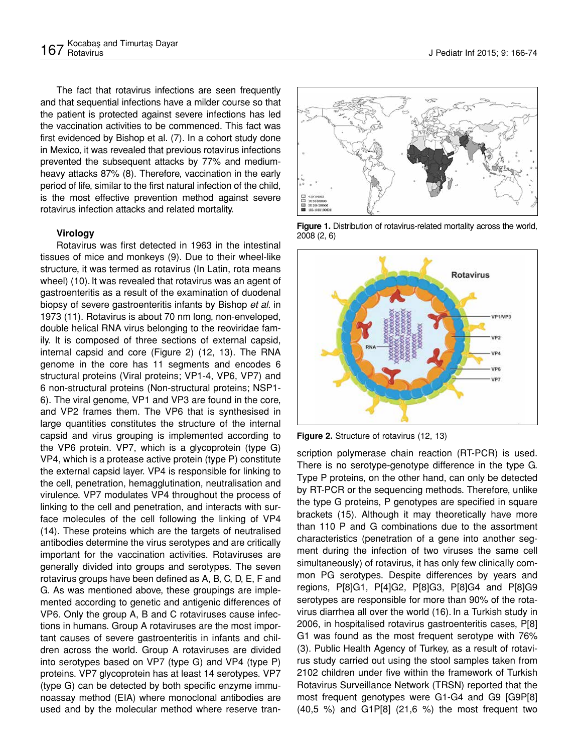The fact that rotavirus infections are seen frequently and that sequential infections have a milder course so that the patient is protected against severe infections has led the vaccination activities to be commenced. This fact was first evidenced by Bishop et al. (7). In a cohort study done in Mexico, it was revealed that previous rotavirus infections prevented the subsequent attacks by 77% and mediumheavy attacks 87% (8). Therefore, vaccination in the early period of life, similar to the first natural infection of the child, is the most effective prevention method against severe rotavirus infection attacks and related mortality.

#### **Virology**

Rotavirus was first detected in 1963 in the intestinal tissues of mice and monkeys (9). Due to their wheel-like structure, it was termed as rotavirus (In Latin, rota means wheel) (10). It was revealed that rotavirus was an agent of gastroenteritis as a result of the examination of duodenal biopsy of severe gastroenteritis infants by Bishop *et al*. in 1973 (11). Rotavirus is about 70 nm long, non-enveloped, double helical RNA virus belonging to the reoviridae family. It is composed of three sections of external capsid, internal capsid and core (Figure 2) (12, 13). The RNA genome in the core has 11 segments and encodes 6 structural proteins (Viral proteins; VP1-4, VP6, VP7) and 6 non-structural proteins (Non-structural proteins; NSP1- 6). The viral genome, VP1 and VP3 are found in the core, and VP2 frames them. The VP6 that is synthesised in large quantities constitutes the structure of the internal capsid and virus grouping is implemented according to the VP6 protein. VP7, which is a glycoprotein (type G) VP4, which is a protease active protein (type P) constitute the external capsid layer. VP4 is responsible for linking to the cell, penetration, hemagglutination, neutralisation and virulence. VP7 modulates VP4 throughout the process of linking to the cell and penetration, and interacts with surface molecules of the cell following the linking of VP4 (14). These proteins which are the targets of neutralised antibodies determine the virus serotypes and are critically important for the vaccination activities. Rotaviruses are generally divided into groups and serotypes. The seven rotavirus groups have been defined as A, B, C, D, E, F and G. As was mentioned above, these groupings are implemented according to genetic and antigenic differences of VP6. Only the group A, B and C rotaviruses cause infections in humans. Group A rotaviruses are the most important causes of severe gastroenteritis in infants and children across the world. Group A rotaviruses are divided into serotypes based on VP7 (type G) and VP4 (type P) proteins. VP7 glycoprotein has at least 14 serotypes. VP7 (type G) can be detected by both specific enzyme immunoassay method (EIA) where monoclonal antibodies are used and by the molecular method where reserve tran-



**Figure 1.** Distribution of rotavirus-related mortality across the world. 2008 (2, 6)



**Figure 2.** Structure of rotavirus (12, 13)

scription polymerase chain reaction (RT-PCR) is used. There is no serotype-genotype difference in the type G. Type P proteins, on the other hand, can only be detected by RT-PCR or the sequencing methods. Therefore, unlike the type G proteins, P genotypes are specified in square brackets (15). Although it may theoretically have more than 110 P and G combinations due to the assortment characteristics (penetration of a gene into another segment during the infection of two viruses the same cell simultaneously) of rotavirus, it has only few clinically common PG serotypes. Despite differences by years and regions, P[8]G1, P[4]G2, P[8]G3, P[8]G4 and P[8]G9 serotypes are responsible for more than 90% of the rotavirus diarrhea all over the world (16). In a Turkish study in 2006, in hospitalised rotavirus gastroenteritis cases, P[8] G1 was found as the most frequent serotype with 76% (3). Public Health Agency of Turkey, as a result of rotavirus study carried out using the stool samples taken from 2102 children under five within the framework of Turkish Rotavirus Surveillance Network (TRSN) reported that the most frequent genotypes were G1-G4 and G9 [G9P[8] (40,5 %) and G1P[8] (21,6 %) the most frequent two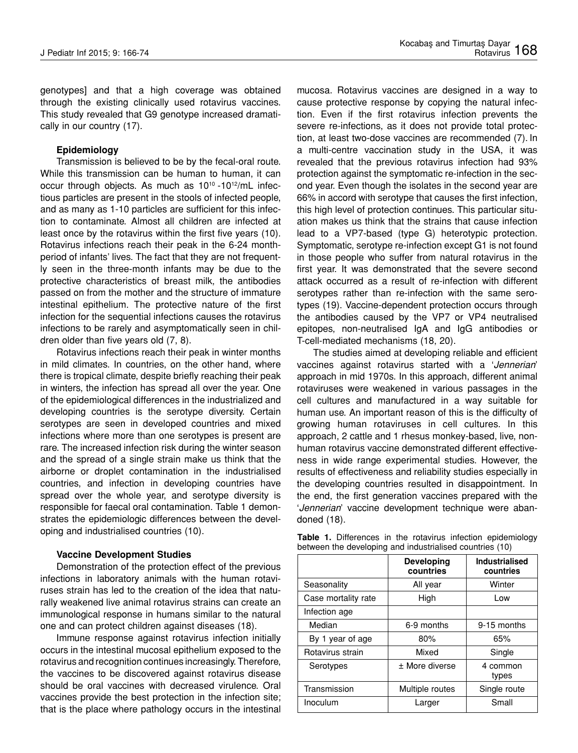genotypes] and that a high coverage was obtained through the existing clinically used rotavirus vaccines. This study revealed that G9 genotype increased dramatically in our country (17).

#### **Epidemiology**

Transmission is believed to be by the fecal-oral route. While this transmission can be human to human, it can occur through objects. As much as 10<sup>10</sup> -10<sup>12</sup>/mL infectious particles are present in the stools of infected people, and as many as 1-10 particles are sufficient for this infection to contaminate. Almost all children are infected at least once by the rotavirus within the first five years (10). Rotavirus infections reach their peak in the 6-24 monthperiod of infants' lives. The fact that they are not frequently seen in the three-month infants may be due to the protective characteristics of breast milk, the antibodies passed on from the mother and the structure of immature intestinal epithelium. The protective nature of the first infection for the sequential infections causes the rotavirus infections to be rarely and asymptomatically seen in children older than five years old (7, 8).

Rotavirus infections reach their peak in winter months in mild climates. In countries, on the other hand, where there is tropical climate, despite briefly reaching their peak in winters, the infection has spread all over the year. One of the epidemiological differences in the industrialized and developing countries is the serotype diversity. Certain serotypes are seen in developed countries and mixed infections where more than one serotypes is present are rare. The increased infection risk during the winter season and the spread of a single strain make us think that the airborne or droplet contamination in the industrialised countries, and infection in developing countries have spread over the whole year, and serotype diversity is responsible for faecal oral contamination. Table 1 demonstrates the epidemiologic differences between the developing and industrialised countries (10).

### **Vaccine Development Studies**

Demonstration of the protection effect of the previous infections in laboratory animals with the human rotaviruses strain has led to the creation of the idea that naturally weakened live animal rotavirus strains can create an immunological response in humans similar to the natural one and can protect children against diseases (18).

Immune response against rotavirus infection initially occurs in the intestinal mucosal epithelium exposed to the rotavirus and recognition continues increasingly. Therefore, the vaccines to be discovered against rotavirus disease should be oral vaccines with decreased virulence. Oral vaccines provide the best protection in the infection site; that is the place where pathology occurs in the intestinal mucosa. Rotavirus vaccines are designed in a way to cause protective response by copying the natural infection. Even if the first rotavirus infection prevents the severe re-infections, as it does not provide total protection, at least two-dose vaccines are recommended (7). In a multi-centre vaccination study in the USA, it was revealed that the previous rotavirus infection had 93% protection against the symptomatic re-infection in the second year. Even though the isolates in the second year are 66% in accord with serotype that causes the first infection, this high level of protection continues. This particular situation makes us think that the strains that cause infection lead to a VP7-based (type G) heterotypic protection. Symptomatic, serotype re-infection except G1 is not found in those people who suffer from natural rotavirus in the first year. It was demonstrated that the severe second attack occurred as a result of re-infection with different serotypes rather than re-infection with the same serotypes (19). Vaccine-dependent protection occurs through the antibodies caused by the VP7 or VP4 neutralised epitopes, non-neutralised IgA and IgG antibodies or T-cell-mediated mechanisms (18, 20).

The studies aimed at developing reliable and efficient vaccines against rotavirus started with a '*Jennerian*' approach in mid 1970s. In this approach, different animal rotaviruses were weakened in various passages in the cell cultures and manufactured in a way suitable for human use. An important reason of this is the difficulty of growing human rotaviruses in cell cultures. In this approach, 2 cattle and 1 rhesus monkey-based, live, nonhuman rotavirus vaccine demonstrated different effectiveness in wide range experimental studies. However, the results of effectiveness and reliability studies especially in the developing countries resulted in disappointment. In the end, the first generation vaccines prepared with the '*Jennerian*' vaccine development technique were abandoned (18).

|                                                          |  |  |  |  |  |  | <b>Table 1.</b> Differences in the rotavirus infection epidemiology |
|----------------------------------------------------------|--|--|--|--|--|--|---------------------------------------------------------------------|
| between the developing and industrialised countries (10) |  |  |  |  |  |  |                                                                     |

|                     | <b>Developing</b><br>countries | <b>Industrialised</b><br>countries |
|---------------------|--------------------------------|------------------------------------|
| Seasonality         | All year                       | Winter                             |
| Case mortality rate | High                           | Low                                |
| Infection age       |                                |                                    |
| Median              | 6-9 months                     | 9-15 months                        |
| By 1 year of age    | 80%                            | 65%                                |
| Rotavirus strain    | Mixed                          | Single                             |
| Serotypes           | ± More diverse                 | 4 common<br>types                  |
| Transmission        | Multiple routes                | Single route                       |
| Inoculum            | Larger                         | Small                              |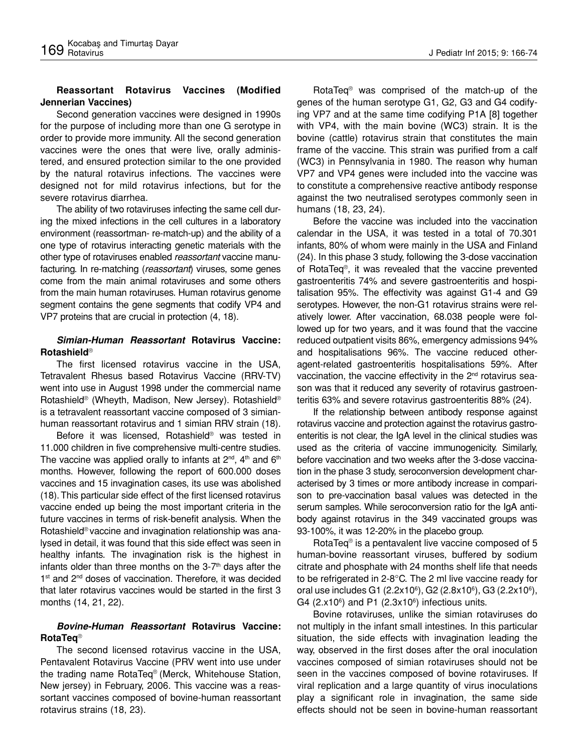## **Reassortant Rotavirus Vaccines (Modified Jennerian Vaccines)**

Second generation vaccines were designed in 1990s for the purpose of including more than one G serotype in order to provide more immunity. All the second generation vaccines were the ones that were live, orally administered, and ensured protection similar to the one provided by the natural rotavirus infections. The vaccines were designed not for mild rotavirus infections, but for the severe rotavirus diarrhea.

The ability of two rotaviruses infecting the same cell during the mixed infections in the cell cultures in a laboratory environment (reassortman- re-match-up) and the ability of a one type of rotavirus interacting genetic materials with the other type of rotaviruses enabled *reassortant* vaccine manufacturing. In re-matching (*reassortant*) viruses, some genes come from the main animal rotaviruses and some others from the main human rotaviruses. Human rotavirus genome segment contains the gene segments that codify VP4 and VP7 proteins that are crucial in protection (4, 18).

### *Simian-Human Reassortant* **Rotavirus Vaccine: Rotashield**®

The first licensed rotavirus vaccine in the USA, Tetravalent Rhesus based Rotavirus Vaccine (RRV-TV) went into use in August 1998 under the commercial name Rotashield® (Wheyth, Madison, New Jersey). Rotashield® is a tetravalent reassortant vaccine composed of 3 simianhuman reassortant rotavirus and 1 simian RRV strain (18).

Before it was licensed, Rotashield® was tested in 11.000 children in five comprehensive multi-centre studies. The vaccine was applied orally to infants at  $2^{nd}$ ,  $4^{th}$  and  $6^{th}$ months. However, following the report of 600.000 doses vaccines and 15 invagination cases, its use was abolished (18).This particular side effect of the first licensed rotavirus vaccine ended up being the most important criteria in the future vaccines in terms of risk-benefit analysis. When the Rotashield® vaccine and invagination relationship was analysed in detail, it was found that this side effect was seen in healthy infants. The invagination risk is the highest in infants older than three months on the  $3-7<sup>th</sup>$  days after the 1<sup>st</sup> and 2<sup>nd</sup> doses of vaccination. Therefore, it was decided that later rotavirus vaccines would be started in the first 3 months (14, 21, 22).

## *Bovine-Human Reassortant* **Rotavirus Vaccine: RotaTeq**®

The second licensed rotavirus vaccine in the USA, Pentavalent Rotavirus Vaccine (PRV went into use under the trading name RotaTeq® (Merck, Whitehouse Station, New jersey) in February, 2006. This vaccine was a reassortant vaccines composed of bovine-human reassortant rotavirus strains (18, 23).

RotaTeq® was comprised of the match-up of the genes of the human serotype G1, G2, G3 and G4 codifying VP7 and at the same time codifying P1A [8] together with VP4, with the main bovine (WC3) strain. It is the bovine (cattle) rotavirus strain that constitutes the main frame of the vaccine. This strain was purified from a calf (WC3) in Pennsylvania in 1980. The reason why human VP7 and VP4 genes were included into the vaccine was to constitute a comprehensive reactive antibody response against the two neutralised serotypes commonly seen in humans (18, 23, 24).

Before the vaccine was included into the vaccination calendar in the USA, it was tested in a total of 70.301 infants, 80% of whom were mainly in the USA and Finland (24). In this phase 3 study, following the 3-dose vaccination of RotaTeq®, it was revealed that the vaccine prevented gastroenteritis 74% and severe gastroenteritis and hospitalisation 95%. The effectivity was against G1-4 and G9 serotypes. However, the non-G1 rotavirus strains were relatively lower. After vaccination, 68.038 people were followed up for two years, and it was found that the vaccine reduced outpatient visits 86%, emergency admissions 94% and hospitalisations 96%. The vaccine reduced otheragent-related gastroenteritis hospitalisations 59%. After vaccination, the vaccine effectivity in the 2<sup>nd</sup> rotavirus season was that it reduced any severity of rotavirus gastroenteritis 63% and severe rotavirus gastroenteritis 88% (24).

If the relationship between antibody response against rotavirus vaccine and protection against the rotavirus gastroenteritis is not clear, the IgA level in the clinical studies was used as the criteria of vaccine immunogenicity. Similarly, before vaccination and two weeks after the 3-dose vaccination in the phase 3 study, seroconversion development characterised by 3 times or more antibody increase in comparison to pre-vaccination basal values was detected in the serum samples. While seroconversion ratio for the IgA antibody against rotavirus in the 349 vaccinated groups was 93-100%, it was 12-20% in the placebo group.

RotaTeq® is a pentavalent live vaccine composed of 5 human-bovine reassortant viruses, buffered by sodium citrate and phosphate with 24 months shelf life that needs to be refrigerated in 2-8°C. The 2 ml live vaccine ready for oral use includes G1 (2.2x10<sup>6</sup>), G2 (2.8x10<sup>6</sup>), G3 (2.2x10<sup>6</sup>), G4  $(2.x10<sup>6</sup>)$  and P1  $(2.3x10<sup>6</sup>)$  infectious units.

Bovine rotaviruses, unlike the simian rotaviruses do not multiply in the infant small intestines. In this particular situation, the side effects with invagination leading the way, observed in the first doses after the oral inoculation vaccines composed of simian rotaviruses should not be seen in the vaccines composed of bovine rotaviruses. If viral replication and a large quantity of virus inoculations play a significant role in invagination, the same side effects should not be seen in bovine-human reassortant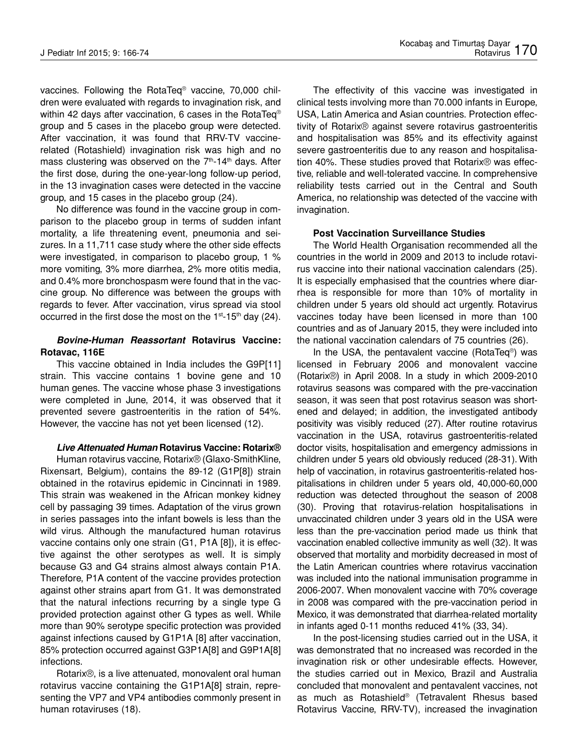vaccines. Following the RotaTeq® vaccine, 70,000 children were evaluated with regards to invagination risk, and within 42 days after vaccination, 6 cases in the RotaTeq<sup>®</sup> group and 5 cases in the placebo group were detected. After vaccination, it was found that RRV-TV vaccinerelated (Rotashield) invagination risk was high and no mass clustering was observed on the  $7<sup>th</sup>$ -14<sup>th</sup> days. After the first dose, during the one-year-long follow-up period, in the 13 invagination cases were detected in the vaccine group, and 15 cases in the placebo group (24).

No difference was found in the vaccine group in comparison to the placebo group in terms of sudden infant mortality, a life threatening event, pneumonia and seizures. In a 11,711 case study where the other side effects were investigated, in comparison to placebo group, 1 % more vomiting, 3% more diarrhea, 2% more otitis media, and 0.4% more bronchospasm were found that in the vaccine group. No difference was between the groups with regards to fever. After vaccination, virus spread via stool occurred in the first dose the most on the  $1^{st}$ -15<sup>th</sup> day (24).

#### *Bovine-Human Reassortant* **Rotavirus Vaccine: Rotavac, 116E**

This vaccine obtained in India includes the G9P[11] strain. This vaccine contains 1 bovine gene and 10 human genes. The vaccine whose phase 3 investigations were completed in June, 2014, it was observed that it prevented severe gastroenteritis in the ration of 54%. However, the vaccine has not yet been licensed (12).

#### *Live Attenuated Human* **Rotavirus Vaccine: Rotarix®**

Human rotavirus vaccine, Rotarix® (Glaxo-SmithKline, Rixensart, Belgium), contains the 89-12 (G1P[8]) strain obtained in the rotavirus epidemic in Cincinnati in 1989. This strain was weakened in the African monkey kidney cell by passaging 39 times. Adaptation of the virus grown in series passages into the infant bowels is less than the wild virus. Although the manufactured human rotavirus vaccine contains only one strain (G1, P1A [8]), it is effective against the other serotypes as well. It is simply because G3 and G4 strains almost always contain P1A. Therefore, P1A content of the vaccine provides protection against other strains apart from G1. It was demonstrated that the natural infections recurring by a single type G provided protection against other G types as well. While more than 90% serotype specific protection was provided against infections caused by G1P1A [8] after vaccination, 85% protection occurred against G3P1A[8] and G9P1A[8] infections.

Rotarix®, is a live attenuated, monovalent oral human rotavirus vaccine containing the G1P1A[8] strain, representing the VP7 and VP4 antibodies commonly present in human rotaviruses (18).

The effectivity of this vaccine was investigated in clinical tests involving more than 70.000 infants in Europe, USA, Latin America and Asian countries. Protection effectivity of Rotarix® against severe rotavirus gastroenteritis and hospitalisation was 85% and its effectivity against severe gastroenteritis due to any reason and hospitalisation 40%. These studies proved that Rotarix® was effective, reliable and well-tolerated vaccine. In comprehensive reliability tests carried out in the Central and South America, no relationship was detected of the vaccine with invagination.

#### **Post Vaccination Surveillance Studies**

The World Health Organisation recommended all the countries in the world in 2009 and 2013 to include rotavirus vaccine into their national vaccination calendars (25). It is especially emphasised that the countries where diarrhea is responsible for more than 10% of mortality in children under 5 years old should act urgently. Rotavirus vaccines today have been licensed in more than 100 countries and as of January 2015, they were included into the national vaccination calendars of 75 countries (26).

In the USA, the pentavalent vaccine (RotaTeq®) was licensed in February 2006 and monovalent vaccine (Rotarix®) in April 2008. In a study in which 2009-2010 rotavirus seasons was compared with the pre-vaccination season, it was seen that post rotavirus season was shortened and delayed; in addition, the investigated antibody positivity was visibly reduced (27). After routine rotavirus vaccination in the USA, rotavirus gastroenteritis-related doctor visits, hospitalisation and emergency admissions in children under 5 years old obviously reduced (28-31). With help of vaccination, in rotavirus gastroenteritis-related hospitalisations in children under 5 years old, 40,000-60,000 reduction was detected throughout the season of 2008 (30). Proving that rotavirus-relation hospitalisations in unvaccinated children under 3 years old in the USA were less than the pre-vaccination period made us think that vaccination enabled collective immunity as well (32). It was observed that mortality and morbidity decreased in most of the Latin American countries where rotavirus vaccination was included into the national immunisation programme in 2006-2007. When monovalent vaccine with 70% coverage in 2008 was compared with the pre-vaccination period in Mexico, it was demonstrated that diarrhea-related mortality in infants aged 0-11 months reduced 41% (33, 34).

In the post-licensing studies carried out in the USA, it was demonstrated that no increased was recorded in the invagination risk or other undesirable effects. However, the studies carried out in Mexico, Brazil and Australia concluded that monovalent and pentavalent vaccines, not as much as Rotashield® (Tetravalent Rhesus based Rotavirus Vaccine, RRV-TV), increased the invagination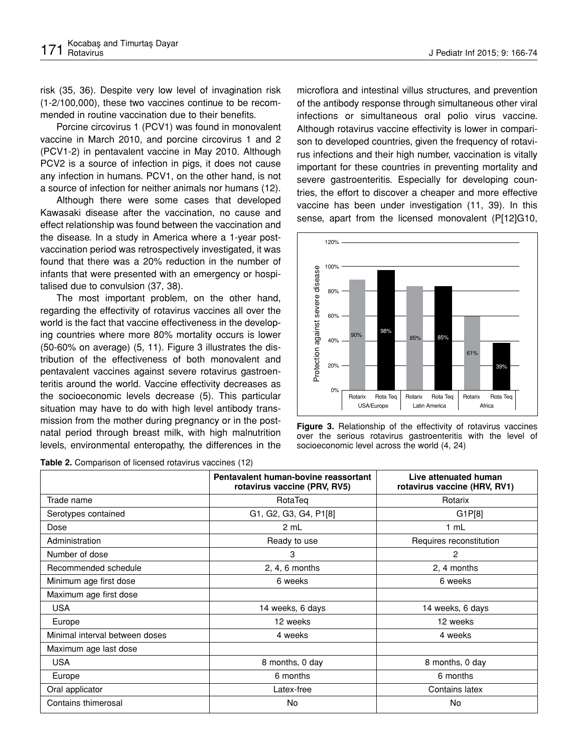risk (35, 36). Despite very low level of invagination risk (1-2/100,000), these two vaccines continue to be recommended in routine vaccination due to their benefits.

Porcine circovirus 1 (PCV1) was found in monovalent vaccine in March 2010, and porcine circovirus 1 and 2 (PCV1-2) in pentavalent vaccine in May 2010. Although PCV2 is a source of infection in pigs, it does not cause any infection in humans. PCV1, on the other hand, is not a source of infection for neither animals nor humans (12).

Although there were some cases that developed Kawasaki disease after the vaccination, no cause and effect relationship was found between the vaccination and the disease. In a study in America where a 1-year postvaccination period was retrospectively investigated, it was found that there was a 20% reduction in the number of infants that were presented with an emergency or hospitalised due to convulsion (37, 38).

The most important problem, on the other hand, regarding the effectivity of rotavirus vaccines all over the world is the fact that vaccine effectiveness in the developing countries where more 80% mortality occurs is lower (50-60% on average) (5, 11). Figure 3 illustrates the distribution of the effectiveness of both monovalent and pentavalent vaccines against severe rotavirus gastroenteritis around the world. Vaccine effectivity decreases as the socioeconomic levels decrease (5). This particular situation may have to do with high level antibody transmission from the mother during pregnancy or in the postnatal period through breast milk, with high malnutrition levels, environmental enteropathy, the differences in the

**Table 2.** Comparison of licensed rotavirus vaccines (12)

microflora and intestinal villus structures, and prevention of the antibody response through simultaneous other viral infections or simultaneous oral polio virus vaccine. Although rotavirus vaccine effectivity is lower in comparison to developed countries, given the frequency of rotavirus infections and their high number, vaccination is vitally important for these countries in preventing mortality and severe gastroenteritis. Especially for developing countries, the effort to discover a cheaper and more effective vaccine has been under investigation (11, 39). In this sense, apart from the licensed monovalent (P[12]G10,



**Figure 3.** Relationship of the effectivity of rotavirus vaccines over the serious rotavirus gastroenteritis with the level of

|                                | Pentavalent human-bovine reassortant<br>rotavirus vaccine (PRV, RV5) | Live attenuated human<br>rotavirus vaccine (HRV, RV1) |
|--------------------------------|----------------------------------------------------------------------|-------------------------------------------------------|
| Trade name                     | RotaTeq                                                              | Rotarix                                               |
| Serotypes contained            | G1, G2, G3, G4, P1[8]                                                | G1P[8]                                                |
| Dose                           | 2 mL                                                                 | 1 mL                                                  |
| Administration                 | Ready to use                                                         | Requires reconstitution                               |
| Number of dose                 | 3                                                                    | $\mathbf{2}$                                          |
| Recommended schedule           | $2, 4, 6$ months                                                     | 2, 4 months                                           |
| Minimum age first dose         | 6 weeks                                                              | 6 weeks                                               |
| Maximum age first dose         |                                                                      |                                                       |
| <b>USA</b>                     | 14 weeks, 6 days                                                     | 14 weeks, 6 days                                      |
| Europe                         | 12 weeks                                                             | 12 weeks                                              |
| Minimal interval between doses | 4 weeks                                                              | 4 weeks                                               |
| Maximum age last dose          |                                                                      |                                                       |
| <b>USA</b>                     | 8 months, 0 day                                                      | 8 months, 0 day                                       |
| Europe                         | 6 months                                                             | 6 months                                              |
| Oral applicator                | Latex-free                                                           | Contains latex                                        |
| Contains thimerosal            | No                                                                   | No                                                    |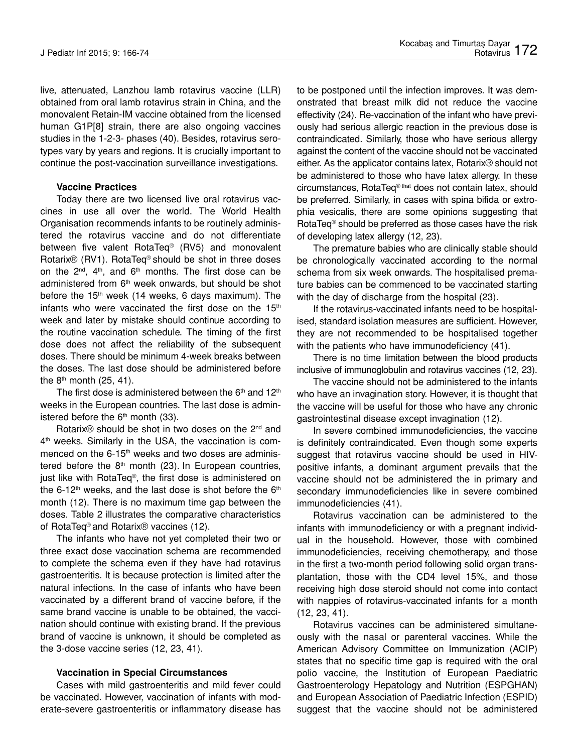live, attenuated, Lanzhou lamb rotavirus vaccine (LLR) obtained from oral lamb rotavirus strain in China, and the monovalent Retain-IM vaccine obtained from the licensed human G1P[8] strain, there are also ongoing vaccines studies in the 1-2-3- phases (40). Besides, rotavirus serotypes vary by years and regions. It is crucially important to continue the post-vaccination surveillance investigations.

#### **Vaccine Practices**

Today there are two licensed live oral rotavirus vaccines in use all over the world. The World Health Organisation recommends infants to be routinely administered the rotavirus vaccine and do not differentiate between five valent RotaTeq® (RV5) and monovalent Rotarix® (RV1). RotaTeq® should be shot in three doses on the  $2^{nd}$ ,  $4^{th}$ , and  $6^{th}$  months. The first dose can be administered from 6<sup>th</sup> week onwards, but should be shot before the  $15<sup>th</sup>$  week (14 weeks, 6 days maximum). The infants who were vaccinated the first dose on the  $15<sup>th</sup>$ week and later by mistake should continue according to the routine vaccination schedule. The timing of the first dose does not affect the reliability of the subsequent doses. There should be minimum 4-week breaks between the doses. The last dose should be administered before the  $8<sup>th</sup>$  month (25, 41).

The first dose is administered between the  $6<sup>th</sup>$  and  $12<sup>th</sup>$ weeks in the European countries. The last dose is administered before the  $6<sup>th</sup>$  month (33).

Rotarix<sup>®</sup> should be shot in two doses on the 2<sup>nd</sup> and 4<sup>th</sup> weeks. Similarly in the USA, the vaccination is commenced on the 6-15<sup>th</sup> weeks and two doses are administered before the  $8<sup>th</sup>$  month (23). In European countries, just like with RotaTeq®, the first dose is administered on the 6-12<sup>th</sup> weeks, and the last dose is shot before the  $6<sup>th</sup>$ month (12). There is no maximum time gap between the doses. Table 2 illustrates the comparative characteristics of RotaTeq® and Rotarix® vaccines (12).

The infants who have not yet completed their two or three exact dose vaccination schema are recommended to complete the schema even if they have had rotavirus gastroenteritis. It is because protection is limited after the natural infections. In the case of infants who have been vaccinated by a different brand of vaccine before, if the same brand vaccine is unable to be obtained, the vaccination should continue with existing brand. If the previous brand of vaccine is unknown, it should be completed as the 3-dose vaccine series (12, 23, 41).

#### **Vaccination in Special Circumstances**

Cases with mild gastroenteritis and mild fever could be vaccinated. However, vaccination of infants with moderate-severe gastroenteritis or inflammatory disease has

to be postponed until the infection improves. It was demonstrated that breast milk did not reduce the vaccine effectivity (24). Re-vaccination of the infant who have previously had serious allergic reaction in the previous dose is contraindicated. Similarly, those who have serious allergy against the content of the vaccine should not be vaccinated either. As the applicator contains latex, Rotarix® should not be administered to those who have latex allergy. In these circumstances, RotaTeq® that does not contain latex, should be preferred. Similarly, in cases with spina bifida or extrophia vesicalis, there are some opinions suggesting that RotaTeq® should be preferred as those cases have the risk of developing latex allergy (12, 23).

The premature babies who are clinically stable should be chronologically vaccinated according to the normal schema from six week onwards. The hospitalised premature babies can be commenced to be vaccinated starting with the day of discharge from the hospital (23).

If the rotavirus-vaccinated infants need to be hospitalised, standard isolation measures are sufficient. However, they are not recommended to be hospitalised together with the patients who have immunodeficiency (41).

There is no time limitation between the blood products inclusive of immunoglobulin and rotavirus vaccines (12, 23).

The vaccine should not be administered to the infants who have an invagination story. However, it is thought that the vaccine will be useful for those who have any chronic gastrointestinal disease except invagination (12).

In severe combined immunodeficiencies, the vaccine is definitely contraindicated. Even though some experts suggest that rotavirus vaccine should be used in HIVpositive infants, a dominant argument prevails that the vaccine should not be administered the in primary and secondary immunodeficiencies like in severe combined immunodeficiencies (41).

Rotavirus vaccination can be administered to the infants with immunodeficiency or with a pregnant individual in the household. However, those with combined immunodeficiencies, receiving chemotherapy, and those in the first a two-month period following solid organ transplantation, those with the CD4 level 15%, and those receiving high dose steroid should not come into contact with nappies of rotavirus-vaccinated infants for a month (12, 23, 41).

Rotavirus vaccines can be administered simultaneously with the nasal or parenteral vaccines. While the American Advisory Committee on Immunization (ACIP) states that no specific time gap is required with the oral polio vaccine, the Institution of European Paediatric Gastroenterology Hepatology and Nutrition (ESPGHAN) and European Association of Paediatric Infection (ESPID) suggest that the vaccine should not be administered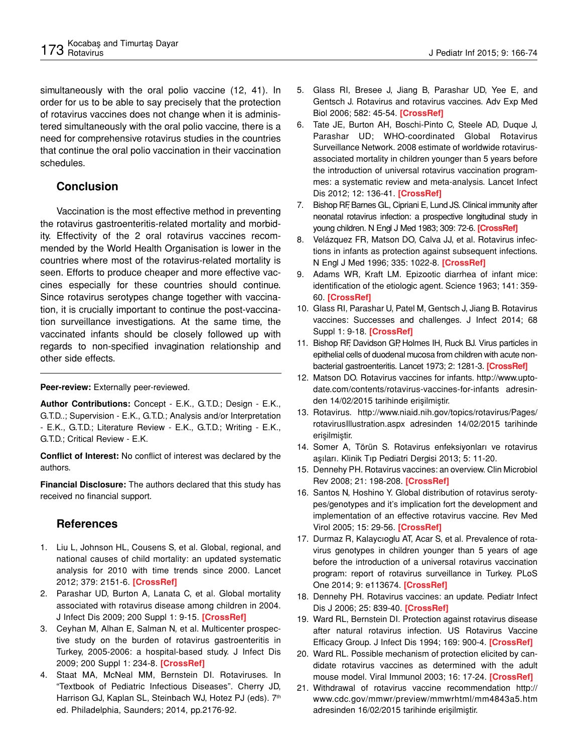simultaneously with the oral polio vaccine (12, 41). In order for us to be able to say precisely that the protection of rotavirus vaccines does not change when it is administered simultaneously with the oral polio vaccine, there is a need for comprehensive rotavirus studies in the countries that continue the oral polio vaccination in their vaccination schedules.

## **Conclusion**

Vaccination is the most effective method in preventing the rotavirus gastroenteritis-related mortality and morbidity. Effectivity of the 2 oral rotavirus vaccines recommended by the World Health Organisation is lower in the countries where most of the rotavirus-related mortality is seen. Efforts to produce cheaper and more effective vaccines especially for these countries should continue. Since rotavirus serotypes change together with vaccination, it is crucially important to continue the post-vaccination surveillance investigations. At the same time, the vaccinated infants should be closely followed up with regards to non-specified invagination relationship and other side effects.

#### **Peer-review:** Externally peer-reviewed.

**Author Contributions:** Concept - E.K., G.T.D.; Design - E.K., G.T.D..; Supervision - E.K., G.T.D.; Analysis and/or Interpretation - E.K., G.T.D.; Literature Review - E.K., G.T.D.; Writing - E.K., G.T.D.; Critical Review - E.K.

**Conflict of Interest:** No conflict of interest was declared by the authors.

**Financial Disclosure:** The authors declared that this study has received no financial support.

## **References**

- 1. Liu L, Johnson HL, Cousens S, et al. Global, regional, and national causes of child mortality: an updated systematic analysis for 2010 with time trends since 2000. Lancet 2012; 379: 2151-6. **[CrossRef]**
- 2. Parashar UD, Burton A, Lanata C, et al. Global mortality associated with rotavirus disease among children in 2004. J Infect Dis 2009; 200 Suppl 1: 9-15. **[CrossRef]**
- 3. Ceyhan M, Alhan E, Salman N, et al. Multicenter prospective study on the burden of rotavirus gastroenteritis in Turkey, 2005-2006: a hospital-based study. J Infect Dis 2009; 200 Suppl 1: 234-8. **[CrossRef]**
- 4. Staat MA, McNeal MM, Bernstein DI. Rotaviruses. In "Textbook of Pediatric Infectious Diseases". Cherry JD, Harrison GJ, Kaplan SL, Steinbach WJ, Hotez PJ (eds). 7th ed. Philadelphia, Saunders; 2014, pp.2176-92.
- 5. Glass RI, Bresee J, Jiang B, Parashar UD, Yee E, and Gentsch J. Rotavirus and rotavirus vaccines. Adv Exp Med Biol 2006; 582: 45-54. **[CrossRef]**
- 6. Tate JE, Burton AH, Boschi-Pinto C, Steele AD, Duque J, Parashar UD; WHO-coordinated Global Rotavirus Surveillance Network. 2008 estimate of worldwide rotavirusassociated mortality in children younger than 5 years before the introduction of universal rotavirus vaccination programmes: a systematic review and meta-analysis. Lancet Infect Dis 2012; 12: 136-41. **[CrossRef]**
- 7. Bishop RF, Barnes GL, Cipriani E, Lund JS. Clinical immunity after neonatal rotavirus infection: a prospective longitudinal study in young children. N Engl J Med 1983; 309: 72-6. **[CrossRef]**
- 8. Velázquez FR, Matson DO, Calva JJ, et al. Rotavirus infections in infants as protection against subsequent infections. N Engl J Med 1996; 335: 1022-8. **[CrossRef]**
- 9. Adams WR, Kraft LM. Epizootic diarrhea of infant mice: identification of the etiologic agent. Science 1963; 141: 359- 60. **[CrossRef]**
- 10. Glass RI, Parashar U, Patel M, Gentsch J, Jiang B. Rotavirus vaccines: Successes and challenges. J Infect 2014; 68 Suppl 1: 9-18. **[CrossRef]**
- 11. Bishop RF, Davidson GP, Holmes IH, Ruck BJ. Virus particles in epithelial cells of duodenal mucosa from children with acute nonbacterial gastroenteritis. Lancet 1973; 2: 1281-3. **[CrossRef]**
- 12. Matson DO. Rotavirus vaccines for infants. http://www.uptodate.com/contents/rotavirus-vaccines-for-infants adresinden 14/02/2015 tarihinde erişilmiştir.
- 13. Rotavirus. http://www.niaid.nih.gov/topics/rotavirus/Pages/ rotavirusIllustration.aspx adresinden 14/02/2015 tarihinde erişilmiştir.
- 14. Somer A, Törün S. Rotavirus enfeksiyonları ve rotavirus aşıları. Klinik Tıp Pediatri Dergisi 2013; 5: 11-20.
- 15. Dennehy PH. Rotavirus vaccines: an overview. Clin Microbiol Rev 2008; 21: 198-208. **[CrossRef]**
- 16. Santos N, Hoshino Y. Global distribution of rotavirus serotypes/genotypes and it's implication fort the development and implementation of an effective rotavirus vaccine. Rev Med Virol 2005; 15: 29-56. **[CrossRef]**
- 17. Durmaz R, Kalaycıoglu AT, Acar S, et al. Prevalence of rotavirus genotypes in children younger than 5 years of age before the introduction of a universal rotavirus vaccination program: report of rotavirus surveillance in Turkey. PLoS One 2014; 9: e113674. **[CrossRef]**
- 18. Dennehy PH. Rotavirus vaccines: an update. Pediatr Infect Dis J 2006; 25: 839-40. **[CrossRef]**
- 19. Ward RL, Bernstein DI. Protection against rotavirus disease after natural rotavirus infection. US Rotavirus Vaccine Efficacy Group. J Infect Dis 1994; 169: 900-4. **[CrossRef]**
- 20. Ward RL. Possible mechanism of protection elicited by candidate rotavirus vaccines as determined with the adult mouse model. Viral Immunol 2003; 16: 17-24. **[CrossRef]**
- 21. Withdrawal of rotavirus vaccine recommendation http:// www.cdc.gov/mmwr/preview/mmwrhtml/mm4843a5.htm adresinden 16/02/2015 tarihinde erişilmiştir.